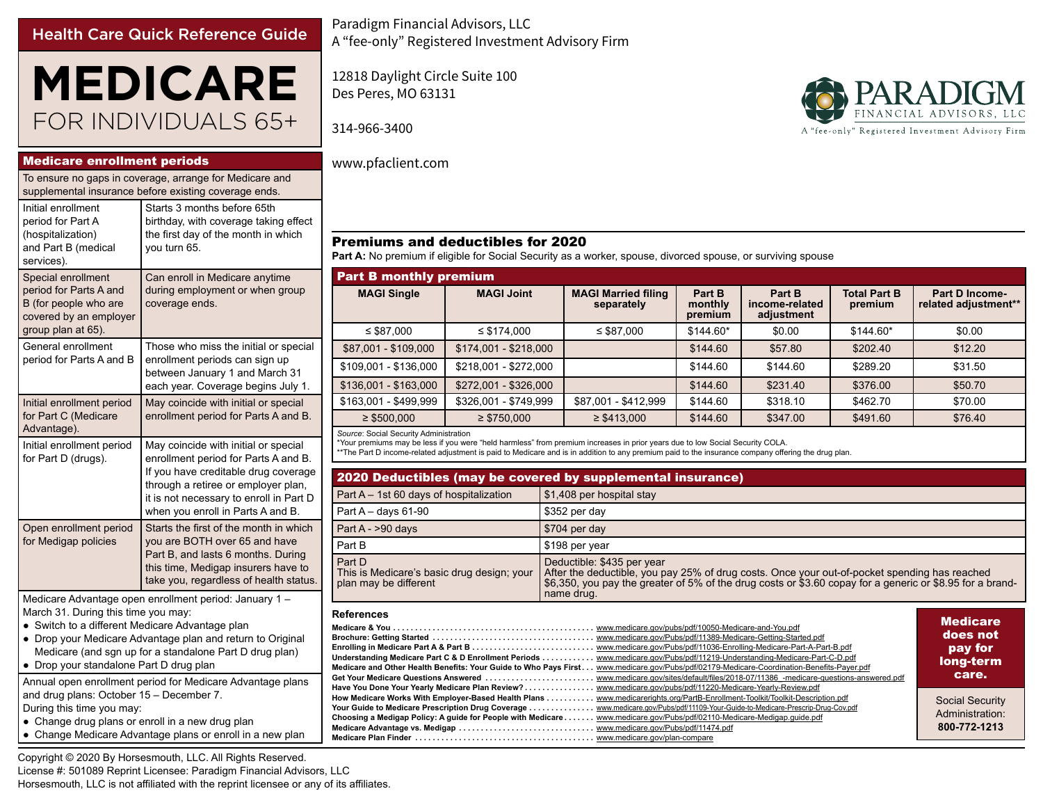## Health Care Quick Reference Guide

# **MEDICARE** FOR INDIVIDUALS 65+

Medicare enrollment periods

| To ensure no gaps in coverage, arrange for Medicare and<br>supplemental insurance before existing coverage ends.                                 |                                                                                                                                                                                                                                             |  |  |  |  |  |
|--------------------------------------------------------------------------------------------------------------------------------------------------|---------------------------------------------------------------------------------------------------------------------------------------------------------------------------------------------------------------------------------------------|--|--|--|--|--|
| Initial enrollment<br>period for Part A<br>(hospitalization)<br>and Part B (medical<br>services).                                                | Starts 3 months before 65th<br>birthday, with coverage taking effect<br>the first day of the month in which<br>you turn 65.                                                                                                                 |  |  |  |  |  |
| Special enrollment<br>period for Parts A and<br>B (for people who are<br>covered by an employer<br>group plan at 65).                            | Can enroll in Medicare anytime<br>during employment or when group<br>coverage ends.                                                                                                                                                         |  |  |  |  |  |
| General enrollment<br>period for Parts A and B                                                                                                   | Those who miss the initial or special<br>enrollment periods can sign up<br>between January 1 and March 31<br>each year. Coverage begins July 1.                                                                                             |  |  |  |  |  |
| Initial enrollment period<br>for Part C (Medicare<br>Advantage).                                                                                 | May coincide with initial or special<br>enrollment period for Parts A and B.                                                                                                                                                                |  |  |  |  |  |
| Initial enrollment period<br>for Part D (drugs).                                                                                                 | May coincide with initial or special<br>enrollment period for Parts A and B.<br>If you have creditable drug coverage<br>through a retiree or employer plan,<br>it is not necessary to enroll in Part D<br>when you enroll in Parts A and B. |  |  |  |  |  |
| Open enrollment period<br>for Medigap policies                                                                                                   | Starts the first of the month in which<br>you are BOTH over 65 and have<br>Part B, and lasts 6 months. During<br>this time, Medigap insurers have to<br>take you, regardless of health status.                                              |  |  |  |  |  |
| Medicare Advantage open enrollment period: January 1 -<br>March 31. During this time you may:<br>• Switch to a different Medicare Advantage plan |                                                                                                                                                                                                                                             |  |  |  |  |  |

● Switch to a different Medicare Advantage plan

● Drop your Medicare Advantage plan and return to Original Medicare (and sgn up for a standalone Part D drug plan)

● Drop your standalone Part D drug plan

Annual open enrollment period for Medicare Advantage plans and drug plans: October 15 – December 7. During this time you may:

• Change drug plans or enroll in a new drug plan

● Change Medicare Advantage plans or enroll in a new plan

Copyright © 2020 By Horsesmouth, LLC. All Rights Reserved. License #: 501089 Reprint Licensee: Paradigm Financial Advisors, LLC Horsesmouth, LLC is not affiliated with the reprint licensee or any of its affiliates.

Paradigm Financial Advisors, LLC A "fee-only" Registered Investment Advisory Firm

12818 Daylight Circle Suite 100 Des Peres, MO 63131

314-966-3400



### www.pfaclient.com

## Premiums and deductibles for 2020

Part A: No premium if eligible for Social Security as a worker, spouse, divorced spouse, or surviving spouse

|                                                                                                                                                                                                                                                                                                                                                                                                                                                                                                                                                                                                                                                                                                                                                                                                                                                                                                                                                                                                                                                                                                                                                                                                                                                                 | <b>Part B monthly premium</b>                                                                                                                                                                                                                                                                                                           |                       |                                          |                              |                                        |                                |                                        |  |  |  |
|-----------------------------------------------------------------------------------------------------------------------------------------------------------------------------------------------------------------------------------------------------------------------------------------------------------------------------------------------------------------------------------------------------------------------------------------------------------------------------------------------------------------------------------------------------------------------------------------------------------------------------------------------------------------------------------------------------------------------------------------------------------------------------------------------------------------------------------------------------------------------------------------------------------------------------------------------------------------------------------------------------------------------------------------------------------------------------------------------------------------------------------------------------------------------------------------------------------------------------------------------------------------|-----------------------------------------------------------------------------------------------------------------------------------------------------------------------------------------------------------------------------------------------------------------------------------------------------------------------------------------|-----------------------|------------------------------------------|------------------------------|----------------------------------------|--------------------------------|----------------------------------------|--|--|--|
|                                                                                                                                                                                                                                                                                                                                                                                                                                                                                                                                                                                                                                                                                                                                                                                                                                                                                                                                                                                                                                                                                                                                                                                                                                                                 | <b>MAGI Single</b><br><b>MAGI Joint</b>                                                                                                                                                                                                                                                                                                 |                       | <b>MAGI Married filing</b><br>separately | Part B<br>monthly<br>premium | Part B<br>income-related<br>adjustment | <b>Total Part B</b><br>premium | Part D Income-<br>related adjustment** |  |  |  |
|                                                                                                                                                                                                                                                                                                                                                                                                                                                                                                                                                                                                                                                                                                                                                                                                                                                                                                                                                                                                                                                                                                                                                                                                                                                                 | $\leq$ \$87.000                                                                                                                                                                                                                                                                                                                         | $\leq$ \$174.000      | $\leq$ \$87.000                          | $$144.60*$                   | \$0.00                                 | $$144.60*$                     | \$0.00                                 |  |  |  |
| эI                                                                                                                                                                                                                                                                                                                                                                                                                                                                                                                                                                                                                                                                                                                                                                                                                                                                                                                                                                                                                                                                                                                                                                                                                                                              | \$87,001 - \$109,000                                                                                                                                                                                                                                                                                                                    | \$174,001 - \$218,000 |                                          | \$144.60                     | \$57.80                                | \$202.40                       | \$12.20                                |  |  |  |
|                                                                                                                                                                                                                                                                                                                                                                                                                                                                                                                                                                                                                                                                                                                                                                                                                                                                                                                                                                                                                                                                                                                                                                                                                                                                 | \$109,001 - \$136,000                                                                                                                                                                                                                                                                                                                   | \$218.001 - \$272.000 |                                          | \$144.60                     | \$144.60                               | \$289.20                       | \$31.50                                |  |  |  |
|                                                                                                                                                                                                                                                                                                                                                                                                                                                                                                                                                                                                                                                                                                                                                                                                                                                                                                                                                                                                                                                                                                                                                                                                                                                                 | \$136,001 - \$163,000                                                                                                                                                                                                                                                                                                                   | \$272,001 - \$326,000 |                                          | \$144.60                     | \$231.40                               | \$376.00                       | \$50.70                                |  |  |  |
|                                                                                                                                                                                                                                                                                                                                                                                                                                                                                                                                                                                                                                                                                                                                                                                                                                                                                                                                                                                                                                                                                                                                                                                                                                                                 | \$163,001 - \$499,999                                                                                                                                                                                                                                                                                                                   | \$326,001 - \$749,999 |                                          | \$144.60                     | \$318.10                               | \$462.70                       | \$70.00                                |  |  |  |
|                                                                                                                                                                                                                                                                                                                                                                                                                                                                                                                                                                                                                                                                                                                                                                                                                                                                                                                                                                                                                                                                                                                                                                                                                                                                 | $\geq$ \$500,000                                                                                                                                                                                                                                                                                                                        | $\geq$ \$750,000      | $\geq$ \$413,000                         | \$144.60                     | \$347.00                               | \$491.60                       | \$76.40                                |  |  |  |
|                                                                                                                                                                                                                                                                                                                                                                                                                                                                                                                                                                                                                                                                                                                                                                                                                                                                                                                                                                                                                                                                                                                                                                                                                                                                 | Source: Social Security Administration<br>*Your premiums may be less if you were "held harmless" from premium increases in prior years due to low Social Security COLA.<br>**The Part D income-related adjustment is paid to Medicare and is in addition to any premium paid to the insurance company offering the drug plan.           |                       |                                          |                              |                                        |                                |                                        |  |  |  |
| ۱e                                                                                                                                                                                                                                                                                                                                                                                                                                                                                                                                                                                                                                                                                                                                                                                                                                                                                                                                                                                                                                                                                                                                                                                                                                                              | 2020 Deductibles (may be covered by supplemental insurance)                                                                                                                                                                                                                                                                             |                       |                                          |                              |                                        |                                |                                        |  |  |  |
| D                                                                                                                                                                                                                                                                                                                                                                                                                                                                                                                                                                                                                                                                                                                                                                                                                                                                                                                                                                                                                                                                                                                                                                                                                                                               | Part A - 1st 60 days of hospitalization                                                                                                                                                                                                                                                                                                 |                       | \$1,408 per hospital stay                |                              |                                        |                                |                                        |  |  |  |
|                                                                                                                                                                                                                                                                                                                                                                                                                                                                                                                                                                                                                                                                                                                                                                                                                                                                                                                                                                                                                                                                                                                                                                                                                                                                 | Part $A - days 61-90$                                                                                                                                                                                                                                                                                                                   |                       | \$352 per day                            |                              |                                        |                                |                                        |  |  |  |
|                                                                                                                                                                                                                                                                                                                                                                                                                                                                                                                                                                                                                                                                                                                                                                                                                                                                                                                                                                                                                                                                                                                                                                                                                                                                 | Part A - >90 days                                                                                                                                                                                                                                                                                                                       |                       | \$704 per day                            |                              |                                        |                                |                                        |  |  |  |
|                                                                                                                                                                                                                                                                                                                                                                                                                                                                                                                                                                                                                                                                                                                                                                                                                                                                                                                                                                                                                                                                                                                                                                                                                                                                 | Part B                                                                                                                                                                                                                                                                                                                                  | \$198 per year        |                                          |                              |                                        |                                |                                        |  |  |  |
| IS.                                                                                                                                                                                                                                                                                                                                                                                                                                                                                                                                                                                                                                                                                                                                                                                                                                                                                                                                                                                                                                                                                                                                                                                                                                                             | Part D<br>Deductible: \$435 per year<br>After the deductible, you pay 25% of drug costs. Once your out-of-pocket spending has reached<br>This is Medicare's basic drug design; your<br>\$6,350, you pay the greater of 5% of the drug costs or \$3.60 copay for a generic or \$8.95 for a brand-<br>plan may be different<br>name drug. |                       |                                          |                              |                                        |                                |                                        |  |  |  |
| <b>References</b><br><b>Medicare</b><br>does not<br>www.medicare.gov/Pubs/pdf/11389-Medicare-Getting-Started.pdf<br>www.medicare.gov/Pubs/pdf/11036-Enrolling-Medicare-Part-A-Part-B.pdf<br>Enrolling in Medicare Part A & Part B<br>pay for<br>www.medicare.gov/Pubs/pdf/11219-Understanding-Medicare-Part-C-D.pdf<br>Understanding Medicare Part C & D Enrollment Periods<br>long-term<br>www.medicare.gov/Pubs/pdf/02179-Medicare-Coordination-Benefits-Payer.pdf<br>Medicare and Other Health Benefits: Your Guide to Who Pays First<br>care.<br>www.medicare.gov/sites/default/files/2018-07/11386 -medicare-questions-answered.pdf<br>Get Your Medicare Questions Answered<br>www.medicare.gov/pubs/pdf/11220-Medicare-Yearly-Review.pdf<br>Have You Done Your Yearly Medicare Plan Review?<br>How Medicare Works With Employer-Based Health Plans<br>www.medicarerights.org/PartB-Enrollment-Toolkit/Toolkit-Description.pdf<br><b>Social Security</b><br>www.medicare.gov/Pubs/pdf/11109-Your-Guide-to-Medicare-Prescrip-Drug-Cov.pdf<br>Your Guide to Medicare Prescription Drug Coverage<br>Administration:<br>Choosing a Medigap Policy: A guide for People with Medicare www.medicare.gov/Pubs/pdf/02110-Medicare-Medigap.guide.pdf<br>800-772-1213 |                                                                                                                                                                                                                                                                                                                                         |                       |                                          |                              |                                        |                                |                                        |  |  |  |